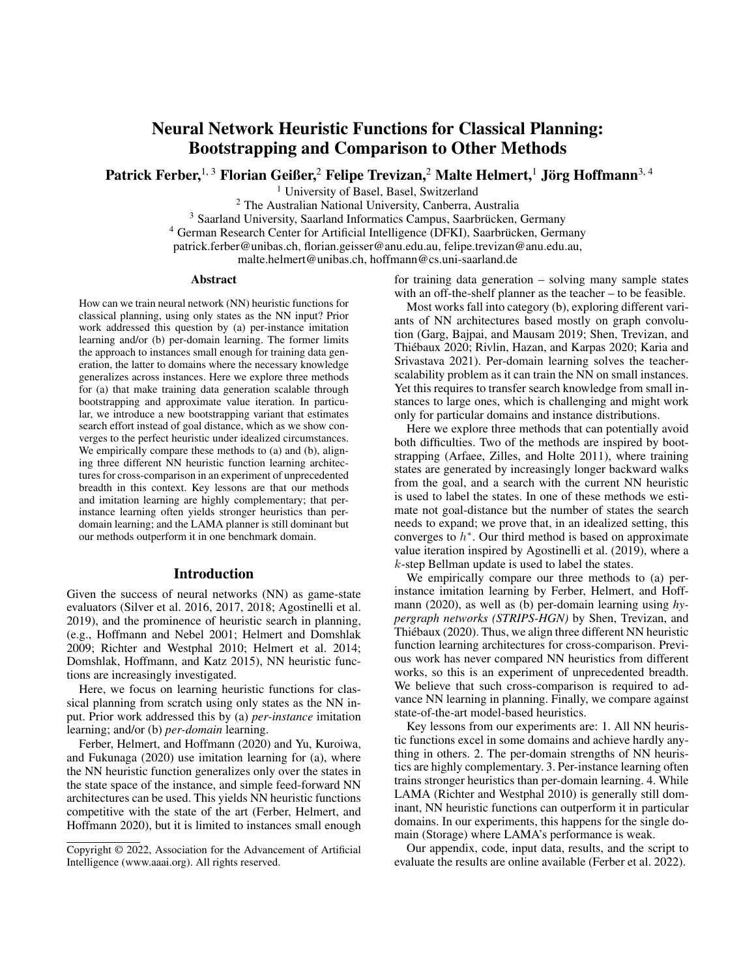# Neural Network Heuristic Functions for Classical Planning: Bootstrapping and Comparison to Other Methods

Patrick Ferber, $^{1,\,3}$  Florian Geißer, $^2$  Felipe Trevizan, $^2$  Malte Helmert, $^1$  Jörg Hoffmann $^{3,\,4}$ 

<sup>1</sup> University of Basel, Basel, Switzerland

<sup>2</sup> The Australian National University, Canberra, Australia

<sup>3</sup> Saarland University, Saarland Informatics Campus, Saarbrücken, Germany

<sup>4</sup> German Research Center for Artificial Intelligence (DFKI), Saarbrücken, Germany

patrick.ferber@unibas.ch, florian.geisser@anu.edu.au, felipe.trevizan@anu.edu.au,

malte.helmert@unibas.ch, hoffmann@cs.uni-saarland.de

#### Abstract

How can we train neural network (NN) heuristic functions for classical planning, using only states as the NN input? Prior work addressed this question by (a) per-instance imitation learning and/or (b) per-domain learning. The former limits the approach to instances small enough for training data generation, the latter to domains where the necessary knowledge generalizes across instances. Here we explore three methods for (a) that make training data generation scalable through bootstrapping and approximate value iteration. In particular, we introduce a new bootstrapping variant that estimates search effort instead of goal distance, which as we show converges to the perfect heuristic under idealized circumstances. We empirically compare these methods to (a) and (b), aligning three different NN heuristic function learning architectures for cross-comparison in an experiment of unprecedented breadth in this context. Key lessons are that our methods and imitation learning are highly complementary; that perinstance learning often yields stronger heuristics than perdomain learning; and the LAMA planner is still dominant but our methods outperform it in one benchmark domain.

### Introduction

Given the success of neural networks (NN) as game-state evaluators (Silver et al. 2016, 2017, 2018; Agostinelli et al. 2019), and the prominence of heuristic search in planning, (e.g., Hoffmann and Nebel 2001; Helmert and Domshlak 2009; Richter and Westphal 2010; Helmert et al. 2014; Domshlak, Hoffmann, and Katz 2015), NN heuristic functions are increasingly investigated.

Here, we focus on learning heuristic functions for classical planning from scratch using only states as the NN input. Prior work addressed this by (a) *per-instance* imitation learning; and/or (b) *per-domain* learning.

Ferber, Helmert, and Hoffmann (2020) and Yu, Kuroiwa, and Fukunaga (2020) use imitation learning for (a), where the NN heuristic function generalizes only over the states in the state space of the instance, and simple feed-forward NN architectures can be used. This yields NN heuristic functions competitive with the state of the art (Ferber, Helmert, and Hoffmann 2020), but it is limited to instances small enough

for training data generation – solving many sample states with an off-the-shelf planner as the teacher – to be feasible.

Most works fall into category (b), exploring different variants of NN architectures based mostly on graph convolution (Garg, Bajpai, and Mausam 2019; Shen, Trevizan, and Thiebaux 2020; Rivlin, Hazan, and Karpas 2020; Karia and ´ Srivastava 2021). Per-domain learning solves the teacherscalability problem as it can train the NN on small instances. Yet this requires to transfer search knowledge from small instances to large ones, which is challenging and might work only for particular domains and instance distributions.

Here we explore three methods that can potentially avoid both difficulties. Two of the methods are inspired by bootstrapping (Arfaee, Zilles, and Holte 2011), where training states are generated by increasingly longer backward walks from the goal, and a search with the current NN heuristic is used to label the states. In one of these methods we estimate not goal-distance but the number of states the search needs to expand; we prove that, in an idealized setting, this converges to  $h^*$ . Our third method is based on approximate value iteration inspired by Agostinelli et al. (2019), where a k-step Bellman update is used to label the states.

We empirically compare our three methods to (a) perinstance imitation learning by Ferber, Helmert, and Hoffmann (2020), as well as (b) per-domain learning using *hypergraph networks (STRIPS-HGN)* by Shen, Trevizan, and Thiébaux (2020). Thus, we align three different NN heuristic function learning architectures for cross-comparison. Previous work has never compared NN heuristics from different works, so this is an experiment of unprecedented breadth. We believe that such cross-comparison is required to advance NN learning in planning. Finally, we compare against state-of-the-art model-based heuristics.

Key lessons from our experiments are: 1. All NN heuristic functions excel in some domains and achieve hardly anything in others. 2. The per-domain strengths of NN heuristics are highly complementary. 3. Per-instance learning often trains stronger heuristics than per-domain learning. 4. While LAMA (Richter and Westphal 2010) is generally still dominant, NN heuristic functions can outperform it in particular domains. In our experiments, this happens for the single domain (Storage) where LAMA's performance is weak.

Our appendix, code, input data, results, and the script to evaluate the results are online available (Ferber et al. 2022).

Copyright © 2022, Association for the Advancement of Artificial Intelligence (www.aaai.org). All rights reserved.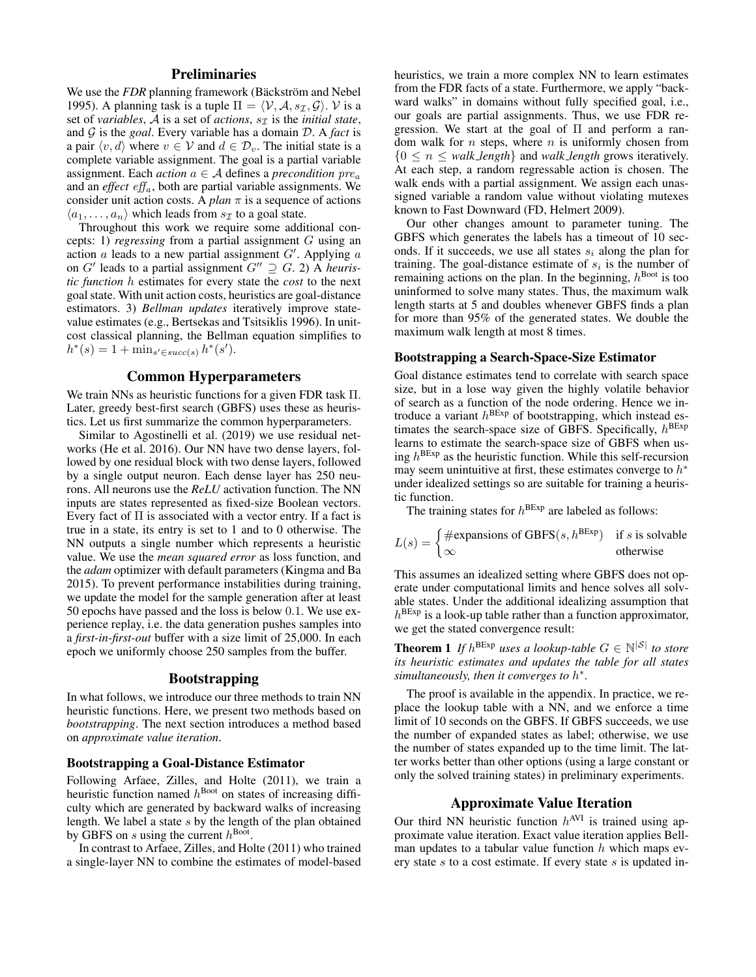# **Preliminaries**

We use the *FDR* planning framework (Bäckström and Nebel 1995). A planning task is a tuple  $\Pi = \langle V, A, s_{\mathcal{I}}, \mathcal{G} \rangle$ . V is a set of *variables*,  $\mathcal A$  is a set of *actions*,  $s_{\mathcal I}$  is the *initial state*, and G is the *goal*. Every variable has a domain D. A *fact* is a pair  $\langle v, d \rangle$  where  $v \in V$  and  $d \in \mathcal{D}_v$ . The initial state is a complete variable assignment. The goal is a partial variable assignment. Each *action*  $a \in A$  defines a *precondition*  $pre_a$ and an *effect* eff<sub>a</sub>, both are partial variable assignments. We consider unit action costs. A *plan*  $\pi$  is a sequence of actions  $\langle a_1, \ldots, a_n \rangle$  which leads from  $s_{\mathcal{I}}$  to a goal state.

Throughout this work we require some additional concepts: 1) *regressing* from a partial assignment G using an action  $a$  leads to a new partial assignment  $G'$ . Applying  $a$ on  $G'$  leads to a partial assignment  $G'' \supseteq G$ . 2) A *heuristic function* h estimates for every state the *cost* to the next goal state. With unit action costs, heuristics are goal-distance estimators. 3) *Bellman updates* iteratively improve statevalue estimates (e.g., Bertsekas and Tsitsiklis 1996). In unitcost classical planning, the Bellman equation simplifies to  $h^*(s) = 1 + \min_{s' \in succ(s)} h^*(s').$ 

### Common Hyperparameters

We train NNs as heuristic functions for a given FDR task Π. Later, greedy best-first search (GBFS) uses these as heuristics. Let us first summarize the common hyperparameters.

Similar to Agostinelli et al. (2019) we use residual networks (He et al. 2016). Our NN have two dense layers, followed by one residual block with two dense layers, followed by a single output neuron. Each dense layer has 250 neurons. All neurons use the *ReLU* activation function. The NN inputs are states represented as fixed-size Boolean vectors. Every fact of  $\Pi$  is associated with a vector entry. If a fact is true in a state, its entry is set to 1 and to 0 otherwise. The NN outputs a single number which represents a heuristic value. We use the *mean squared error* as loss function, and the *adam* optimizer with default parameters (Kingma and Ba 2015). To prevent performance instabilities during training, we update the model for the sample generation after at least 50 epochs have passed and the loss is below 0.1. We use experience replay, i.e. the data generation pushes samples into a *first-in-first-out* buffer with a size limit of 25,000. In each epoch we uniformly choose 250 samples from the buffer.

# Bootstrapping

In what follows, we introduce our three methods to train NN heuristic functions. Here, we present two methods based on *bootstrapping*. The next section introduces a method based on *approximate value iteration*.

#### Bootstrapping a Goal-Distance Estimator

Following Arfaee, Zilles, and Holte (2011), we train a heuristic function named  $h^{\text{boot}}$  on states of increasing difficulty which are generated by backward walks of increasing length. We label a state s by the length of the plan obtained by GBFS on s using the current  $h^{\text{Boot}}$ .

In contrast to Arfaee, Zilles, and Holte (2011) who trained a single-layer NN to combine the estimates of model-based

heuristics, we train a more complex NN to learn estimates from the FDR facts of a state. Furthermore, we apply "backward walks" in domains without fully specified goal, i.e., our goals are partial assignments. Thus, we use FDR regression. We start at the goal of  $\Pi$  and perform a random walk for  $n$  steps, where  $n$  is uniformly chosen from {0 ≤ n ≤ *walk length*} and *walk length* grows iteratively. At each step, a random regressable action is chosen. The walk ends with a partial assignment. We assign each unassigned variable a random value without violating mutexes known to Fast Downward (FD, Helmert 2009).

Our other changes amount to parameter tuning. The GBFS which generates the labels has a timeout of 10 seconds. If it succeeds, we use all states  $s_i$  along the plan for training. The goal-distance estimate of  $s_i$  is the number of remaining actions on the plan. In the beginning,  $h^{\text{Boot}}$  is too uninformed to solve many states. Thus, the maximum walk length starts at 5 and doubles whenever GBFS finds a plan for more than 95% of the generated states. We double the maximum walk length at most 8 times.

#### Bootstrapping a Search-Space-Size Estimator

Goal distance estimates tend to correlate with search space size, but in a lose way given the highly volatile behavior of search as a function of the node ordering. Hence we introduce a variant  $h^{BExp}$  of bootstrapping, which instead estimates the search-space size of GBFS. Specifically,  $h^{\text{BExp}}$ learns to estimate the search-space size of GBFS when using  $h^{\text{BExp}}$  as the heuristic function. While this self-recursion may seem unintuitive at first, these estimates converge to  $h^*$ under idealized settings so are suitable for training a heuristic function.

The training states for  $h^{BExp}$  are labeled as follows:

$$
L(s) = \begin{cases} \text{#expansions of GBFS}(s, h^{\text{BExp}}) & \text{if } s \text{ is solvable} \\ \infty & \text{otherwise} \end{cases}
$$

This assumes an idealized setting where GBFS does not operate under computational limits and hence solves all solvable states. Under the additional idealizing assumption that  $h^{\text{BExp}}$  is a look-up table rather than a function approximator, we get the stated convergence result:

**Theorem 1** If  $h^{\text{BExp}}$  uses a lookup-table  $G \in \mathbb{N}^{|S|}$  to store *its heuristic estimates and updates the table for all states simultaneously, then it converges to*  $h^*$ *.* 

The proof is available in the appendix. In practice, we replace the lookup table with a NN, and we enforce a time limit of 10 seconds on the GBFS. If GBFS succeeds, we use the number of expanded states as label; otherwise, we use the number of states expanded up to the time limit. The latter works better than other options (using a large constant or only the solved training states) in preliminary experiments.

# Approximate Value Iteration

Our third NN heuristic function  $h^{\text{AVI}}$  is trained using approximate value iteration. Exact value iteration applies Bellman updates to a tabular value function  $h$  which maps every state s to a cost estimate. If every state s is updated in-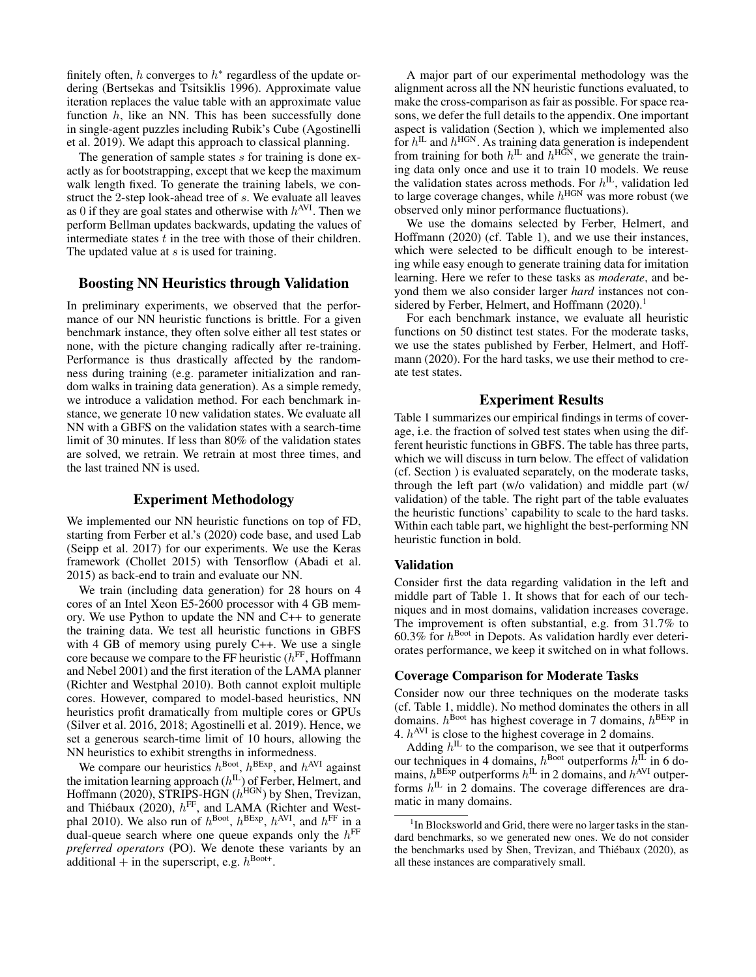finitely often,  $h$  converges to  $h^*$  regardless of the update ordering (Bertsekas and Tsitsiklis 1996). Approximate value iteration replaces the value table with an approximate value function  $h$ , like an NN. This has been successfully done in single-agent puzzles including Rubik's Cube (Agostinelli et al. 2019). We adapt this approach to classical planning.

The generation of sample states s for training is done exactly as for bootstrapping, except that we keep the maximum walk length fixed. To generate the training labels, we construct the 2-step look-ahead tree of s. We evaluate all leaves as 0 if they are goal states and otherwise with  $h^{\text{AVI}}$ . Then we perform Bellman updates backwards, updating the values of intermediate states  $t$  in the tree with those of their children. The updated value at s is used for training.

# Boosting NN Heuristics through Validation

In preliminary experiments, we observed that the performance of our NN heuristic functions is brittle. For a given benchmark instance, they often solve either all test states or none, with the picture changing radically after re-training. Performance is thus drastically affected by the randomness during training (e.g. parameter initialization and random walks in training data generation). As a simple remedy, we introduce a validation method. For each benchmark instance, we generate 10 new validation states. We evaluate all NN with a GBFS on the validation states with a search-time limit of 30 minutes. If less than 80% of the validation states are solved, we retrain. We retrain at most three times, and the last trained NN is used.

### Experiment Methodology

We implemented our NN heuristic functions on top of FD, starting from Ferber et al.'s (2020) code base, and used Lab (Seipp et al. 2017) for our experiments. We use the Keras framework (Chollet 2015) with Tensorflow (Abadi et al. 2015) as back-end to train and evaluate our NN.

We train (including data generation) for 28 hours on 4 cores of an Intel Xeon E5-2600 processor with 4 GB memory. We use Python to update the NN and C++ to generate the training data. We test all heuristic functions in GBFS with 4 GB of memory using purely C++. We use a single core because we compare to the FF heuristic  $(h<sup>FF</sup>, Hoffmann)$ and Nebel 2001) and the first iteration of the LAMA planner (Richter and Westphal 2010). Both cannot exploit multiple cores. However, compared to model-based heuristics, NN heuristics profit dramatically from multiple cores or GPUs (Silver et al. 2016, 2018; Agostinelli et al. 2019). Hence, we set a generous search-time limit of 10 hours, allowing the NN heuristics to exhibit strengths in informedness.

We compare our heuristics  $h^{\text{Boot}}$ ,  $h^{\text{BExp}}$ , and  $h^{\text{AVI}}$  against the imitation learning approach  $(h^{\text{IL}})$  of Ferber, Helmert, and Hoffmann (2020), STRIPS-HGN  $(h^{\text{HGN}})$  by Shen, Trevizan, and Thiébaux (2020),  $h<sup>FF</sup>$ , and LAMA (Richter and Westphal 2010). We also run of  $h^{\text{Boot}}$ ,  $h^{\text{BExp}}$ ,  $h^{\text{AVI}}$ , and  $h^{\text{FF}}$  in a dual-queue search where one queue expands only the  $h^{\text{FF}}$ *preferred operators* (PO). We denote these variants by an additional  $+$  in the superscript, e.g.  $h^{\text{Boott}}$ .

A major part of our experimental methodology was the alignment across all the NN heuristic functions evaluated, to make the cross-comparison as fair as possible. For space reasons, we defer the full details to the appendix. One important aspect is validation (Section ), which we implemented also for  $h^{\text{IL}}$  and  $h^{\text{HGN}}$ . As training data generation is independent from training for both  $h^{\text{IL}}$  and  $h^{\text{HGN}}$ , we generate the training data only once and use it to train 10 models. We reuse the validation states across methods. For  $h^{\text{IL}}$ , validation led to large coverage changes, while  $h^{\text{HGN}}$  was more robust (we observed only minor performance fluctuations).

We use the domains selected by Ferber, Helmert, and Hoffmann (2020) (cf. Table 1), and we use their instances, which were selected to be difficult enough to be interesting while easy enough to generate training data for imitation learning. Here we refer to these tasks as *moderate*, and beyond them we also consider larger *hard* instances not considered by Ferber, Helmert, and Hoffmann (2020).<sup>1</sup>

For each benchmark instance, we evaluate all heuristic functions on 50 distinct test states. For the moderate tasks, we use the states published by Ferber, Helmert, and Hoffmann (2020). For the hard tasks, we use their method to create test states.

### Experiment Results

Table 1 summarizes our empirical findings in terms of coverage, i.e. the fraction of solved test states when using the different heuristic functions in GBFS. The table has three parts, which we will discuss in turn below. The effect of validation (cf. Section ) is evaluated separately, on the moderate tasks, through the left part (w/o validation) and middle part (w/ validation) of the table. The right part of the table evaluates the heuristic functions' capability to scale to the hard tasks. Within each table part, we highlight the best-performing NN heuristic function in bold.

#### Validation

Consider first the data regarding validation in the left and middle part of Table 1. It shows that for each of our techniques and in most domains, validation increases coverage. The improvement is often substantial, e.g. from 31.7% to 60.3% for  $h^{\text{Boot}}$  in Depots. As validation hardly ever deteriorates performance, we keep it switched on in what follows.

#### Coverage Comparison for Moderate Tasks

Consider now our three techniques on the moderate tasks (cf. Table 1, middle). No method dominates the others in all domains.  $h^{\text{Boot}}$  has highest coverage in 7 domains,  $h^{\text{BExp}}$  in 4.  $h^{\text{AVI}}$  is close to the highest coverage in 2 domains.

Adding  $h^{\text{IL}}$  to the comparison, we see that it outperforms our techniques in 4 domains,  $h^{\text{Boot}}$  outperforms  $h^{\text{IL}}$  in 6 domains,  $h^{\text{BExp}}$  outperforms  $h^{\text{IL}}$  in 2 domains, and  $h^{\text{AVI}}$  outperforms  $h^{\text{IL}}$  in 2 domains. The coverage differences are dramatic in many domains.

<sup>&</sup>lt;sup>1</sup> In Blocksworld and Grid, there were no larger tasks in the standard benchmarks, so we generated new ones. We do not consider the benchmarks used by Shen, Trevizan, and Thiébaux (2020), as all these instances are comparatively small.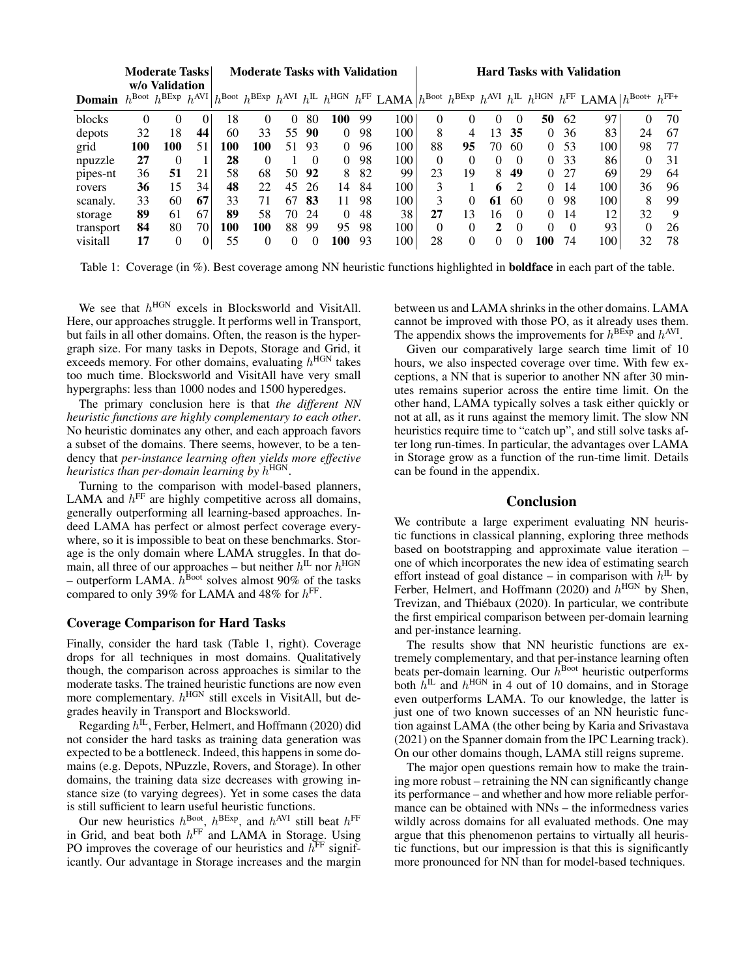|               |     | Moderate Tasks<br>w/o Validation                 |    | <b>Moderate Tasks with Validation</b> |     |          |          |          |     |      | <b>Hard Tasks with Validation</b> |    |          |               |          |          |                                                                                                                                                                                                                                                          |          |     |
|---------------|-----|--------------------------------------------------|----|---------------------------------------|-----|----------|----------|----------|-----|------|-----------------------------------|----|----------|---------------|----------|----------|----------------------------------------------------------------------------------------------------------------------------------------------------------------------------------------------------------------------------------------------------------|----------|-----|
| <b>Domain</b> |     | $h^{\text{Boot}} h^{\text{BExp}} h^{\text{AVI}}$ |    |                                       |     |          |          |          |     |      |                                   |    |          |               |          |          | $h^{\text{Bob}}$ $h^{\text{BExp}}$ $h^{\text{AVI}}$ $h^{\text{IL}}$ $h^{\text{HGN}}$ $h^{\text{FF}}$ LAMA $h^{\text{Book}}$ $h^{\text{BExp}}$ $h^{\text{AVI}}$ $h^{\text{IL}}$ $h^{\text{HGN}}$ $h^{\text{FF}}$ LAMA $h^{\text{Book+}}$ $h^{\text{FF+}}$ |          |     |
| blocks        | 0   | 0                                                | 0  | 18                                    | 0   | $\Omega$ | 80       | 100      | 99  | 100  | 0                                 | 0  | $\theta$ | $\Omega$      | 50       | 62       | 97                                                                                                                                                                                                                                                       | $\Omega$ | 70  |
| depots        | 32  | 18                                               | 44 | 60                                    | 33  | 55       | 90       | $\Omega$ | 98  | 100  | 8                                 | 4  | 13       | 35            | $\Omega$ | 36       | 83                                                                                                                                                                                                                                                       | 24       | -67 |
| grid          | 100 | 100                                              | 51 | 100                                   | 100 | 51       | 93       | $\Omega$ | 96  | 100  | 88                                | 95 | 70       | 60            | $\Omega$ | 53       | 100                                                                                                                                                                                                                                                      | 98       | 77  |
| npuzzle       | 27  | $\Omega$                                         |    | 28                                    | 0   |          | $\Omega$ | $\Omega$ | 98  | 100  | 0                                 | 0  | $\theta$ | $\Omega$      | 0        | 33       | 86                                                                                                                                                                                                                                                       | $\Omega$ | 31  |
| pipes-nt      | 36  | 51                                               | 21 | 58                                    | 68  | 50       | 92       | 8        | -82 | 99   | 23                                | 19 | 8        | 49            | 0        | 27       | 69                                                                                                                                                                                                                                                       | 29       | 64  |
| rovers        | 36  | 15                                               | 34 | 48                                    | 22  | 45       | 26       | 14       | 84  | 100  | 3                                 |    | 6        | $\mathcal{D}$ | $\Omega$ | 14       | 100                                                                                                                                                                                                                                                      | 36       | 96  |
| scanaly.      | 33  | 60                                               | 67 | 33                                    | 71  | 67       | 83       | 11       | 98  | 100  | 3                                 | 0  | 61       | 60            | $\Omega$ | 98       | 100                                                                                                                                                                                                                                                      | 8        | 99  |
| storage       | 89  | 61                                               | 67 | 89                                    | 58  | 70       | 24       | $\Omega$ | 48  | 38   | 27                                | 13 | 16       | $\Omega$      | $\Omega$ | 14       | 12                                                                                                                                                                                                                                                       | 32       | 9   |
| transport     | 84  | 80                                               | 70 | 100                                   | 100 | 88       | 99       | 95       | -98 | 100. | $\Omega$                          | 0  | 2        | $\Omega$      | $\Omega$ | $\Omega$ | 93                                                                                                                                                                                                                                                       | $\theta$ | 26  |
| visitall      | 17  | $\theta$                                         | 0  | 55                                    | 0   |          |          | 100      | 93  | 100  | 28                                | 0  | 0        | 0             | 100      | 74       | 100                                                                                                                                                                                                                                                      | 32       | 78  |

Table 1: Coverage (in %). Best coverage among NN heuristic functions highlighted in **boldface** in each part of the table.

We see that  $h^{\text{HGN}}$  excels in Blocksworld and VisitAll. Here, our approaches struggle. It performs well in Transport, but fails in all other domains. Often, the reason is the hypergraph size. For many tasks in Depots, Storage and Grid, it exceeds memory. For other domains, evaluating  $h^{\text{HGN}}$  takes too much time. Blocksworld and VisitAll have very small hypergraphs: less than 1000 nodes and 1500 hyperedges.

The primary conclusion here is that *the different NN heuristic functions are highly complementary to each other*. No heuristic dominates any other, and each approach favors a subset of the domains. There seems, however, to be a tendency that *per-instance learning often yields more effective heuristics than per-domain learning by* h HGN.

Turning to the comparison with model-based planners, LAMA and  $h^{\text{FF}}$  are highly competitive across all domains, generally outperforming all learning-based approaches. Indeed LAMA has perfect or almost perfect coverage everywhere, so it is impossible to beat on these benchmarks. Storage is the only domain where LAMA struggles. In that domain, all three of our approaches – but neither  $h^{\text{IL}}$  nor  $h^{\text{HGN}}$ – outperform LAMA.  $h^{\text{Boot}}$  solves almost 90% of the tasks compared to only 39% for LAMA and 48% for  $h<sup>FF</sup>$ .

### Coverage Comparison for Hard Tasks

Finally, consider the hard task (Table 1, right). Coverage drops for all techniques in most domains. Qualitatively though, the comparison across approaches is similar to the moderate tasks. The trained heuristic functions are now even more complementary.  $h^{\text{HGN}}$  still excels in VisitAll, but degrades heavily in Transport and Blocksworld.

Regarding  $h^{\text{IL}}$ , Ferber, Helmert, and Hoffmann (2020) did not consider the hard tasks as training data generation was expected to be a bottleneck. Indeed, this happens in some domains (e.g. Depots, NPuzzle, Rovers, and Storage). In other domains, the training data size decreases with growing instance size (to varying degrees). Yet in some cases the data is still sufficient to learn useful heuristic functions.

Our new heuristics  $h^{\text{Boot}}$ ,  $h^{\text{BExp}}$ , and  $h^{\text{AVI}}$  still beat  $h^{\text{FF}}$ in Grid, and beat both  $h^{\text{FF}}$  and LAMA in Storage. Using PO improves the coverage of our heuristics and  $h<sup>FF</sup>$  significantly. Our advantage in Storage increases and the margin between us and LAMA shrinks in the other domains. LAMA cannot be improved with those PO, as it already uses them. The appendix shows the improvements for  $h^{\text{BExp}}$  and  $h^{\text{AVI}}$ .

Given our comparatively large search time limit of 10 hours, we also inspected coverage over time. With few exceptions, a NN that is superior to another NN after 30 minutes remains superior across the entire time limit. On the other hand, LAMA typically solves a task either quickly or not at all, as it runs against the memory limit. The slow NN heuristics require time to "catch up", and still solve tasks after long run-times. In particular, the advantages over LAMA in Storage grow as a function of the run-time limit. Details can be found in the appendix.

# Conclusion

We contribute a large experiment evaluating NN heuristic functions in classical planning, exploring three methods based on bootstrapping and approximate value iteration – one of which incorporates the new idea of estimating search effort instead of goal distance – in comparison with  $h^{\text{IL}}$  by Ferber, Helmert, and Hoffmann (2020) and  $h^{\text{HGN}}$  by Shen, Trevizan, and Thiébaux (2020). In particular, we contribute the first empirical comparison between per-domain learning and per-instance learning.

The results show that NN heuristic functions are extremely complementary, and that per-instance learning often beats per-domain learning. Our  $h^{\text{Boost}}$  heuristic outperforms both  $h^{\text{IL}}$  and  $h^{\text{HGN}}$  in 4 out of 10 domains, and in Storage even outperforms LAMA. To our knowledge, the latter is just one of two known successes of an NN heuristic function against LAMA (the other being by Karia and Srivastava (2021) on the Spanner domain from the IPC Learning track). On our other domains though, LAMA still reigns supreme.

The major open questions remain how to make the training more robust – retraining the NN can significantly change its performance – and whether and how more reliable performance can be obtained with NNs – the informedness varies wildly across domains for all evaluated methods. One may argue that this phenomenon pertains to virtually all heuristic functions, but our impression is that this is significantly more pronounced for NN than for model-based techniques.